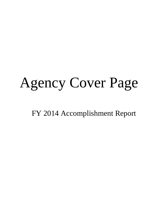# Agency Cover Page

FY 2014 Accomplishment Report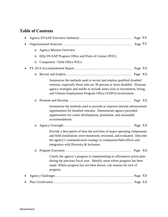## **Table of Contents**

|         | Page XX                                                                                                                                                                                                                                                                                       |  |
|---------|-----------------------------------------------------------------------------------------------------------------------------------------------------------------------------------------------------------------------------------------------------------------------------------------------|--|
|         | Page XX                                                                                                                                                                                                                                                                                       |  |
| $\circ$ | <b>Agency Mission Overview</b>                                                                                                                                                                                                                                                                |  |
| O       | HQs DVAAP Program Office and Point of Contact (POC)                                                                                                                                                                                                                                           |  |
| O       | Component / Field Office POCs                                                                                                                                                                                                                                                                 |  |
|         |                                                                                                                                                                                                                                                                                               |  |
| $\circ$ |                                                                                                                                                                                                                                                                                               |  |
|         | Summarize the methods used to recruit and employ qualified disabled<br>veterans, especially those who are 30 percent or more disabled. Illustrate<br>agency strategies and results to include items such as recruitment, hiring,<br>and Veteran Employment Program Office (VEPO) involvement. |  |
| $\circ$ |                                                                                                                                                                                                                                                                                               |  |
|         | Summarize the methods used to provide or improve internal advancement<br>opportunities for disabled veterans. Demonstrate agency-provided<br>opportunities for career development, promotion, and reasonable<br>accommodations.                                                               |  |
| O       |                                                                                                                                                                                                                                                                                               |  |
|         | Provide a description of how the activities of major operating components<br>and field installations were monitored, reviewed, and evaluated. Describe<br>the agency's communication strategy to component/field offices and<br>integration with Diversity $&$ Inclusion.                     |  |
| O       |                                                                                                                                                                                                                                                                                               |  |
|         | Clarify the agency's progress in implementing its affirmative action plan<br>during the previous fiscal year. Identify areas where progress has been<br>made. Where progress has not been shown, cite reasons for lack of<br>progress.                                                        |  |
|         |                                                                                                                                                                                                                                                                                               |  |
|         |                                                                                                                                                                                                                                                                                               |  |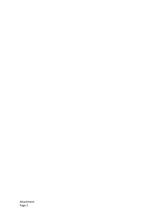Attachment Page 2